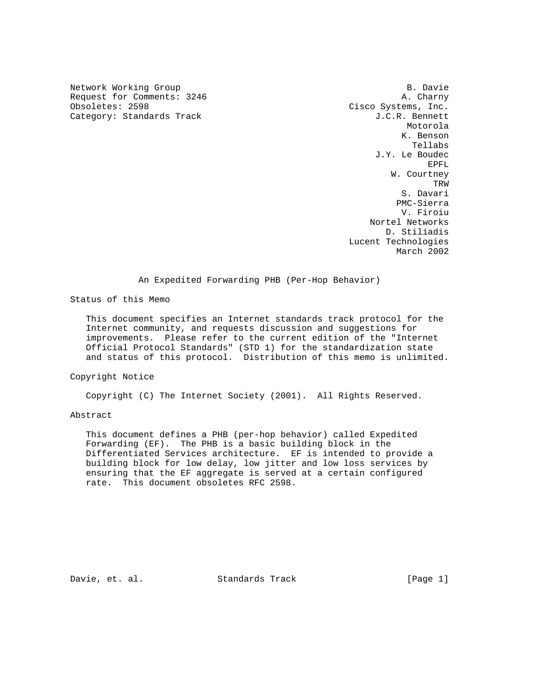Network Working Group B. Davie Request for Comments: 3246 A. Charny<br>Obsoletes: 2598 Cisco Systems, Inc. Category: Standards Track J.C.R. Bennett

Cisco Systems, Inc. Motorola K. Benson Tellabs J.Y. Le Boudec EPFL W. Courtney TRW STREET IN THE RESERVE OF THE RESERVE OF THE RESERVE OF THE RESERVE OF THE RESERVE OF THE RESERVE OF THE RE S. Davari PMC-Sierra V. Firoiu Nortel Networks D. Stiliadis Lucent Technologies March 2002

An Expedited Forwarding PHB (Per-Hop Behavior)

Status of this Memo

 This document specifies an Internet standards track protocol for the Internet community, and requests discussion and suggestions for improvements. Please refer to the current edition of the "Internet Official Protocol Standards" (STD 1) for the standardization state and status of this protocol. Distribution of this memo is unlimited.

Copyright Notice

Copyright (C) The Internet Society (2001). All Rights Reserved.

# Abstract

 This document defines a PHB (per-hop behavior) called Expedited Forwarding (EF). The PHB is a basic building block in the Differentiated Services architecture. EF is intended to provide a building block for low delay, low jitter and low loss services by ensuring that the EF aggregate is served at a certain configured rate. This document obsoletes RFC 2598.

Davie, et. al. Standards Track [Page 1]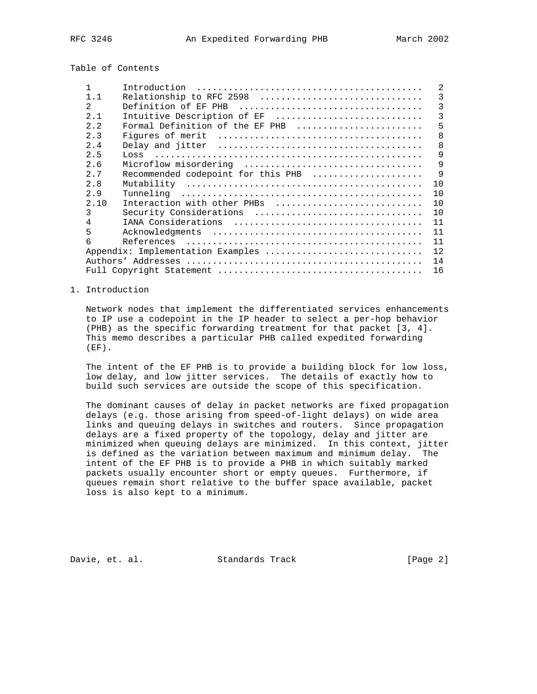Table of Contents

|                | Introduction                       | 2  |
|----------------|------------------------------------|----|
| 1.1            | Relationship to RFC 2598           | 3  |
| $\mathfrak{D}$ |                                    | 3  |
| 2.1            | Intuitive Description of EF        | 3  |
| 2.2            | Formal Definition of the EF PHB    | 5  |
| 2.3            |                                    | 8  |
| 2.4            |                                    | 8  |
| 2.5            | LOSS                               | 9  |
| 2.6            | Microflow misordering              | 9  |
| 2.7            | Recommended codepoint for this PHB | 9  |
| 2.8            |                                    | 10 |
| 2.9            |                                    | 10 |
| 2.10           | Interaction with other PHBs        | 10 |
| 3              | Security Considerations            | 10 |
| 4              |                                    | 11 |
| 5              |                                    | 11 |
| 6              |                                    | 11 |
|                | Appendix: Implementation Examples  | 12 |
|                |                                    | 14 |
|                |                                    | 16 |

### 1. Introduction

 Network nodes that implement the differentiated services enhancements to IP use a codepoint in the IP header to select a per-hop behavior (PHB) as the specific forwarding treatment for that packet [3, 4]. This memo describes a particular PHB called expedited forwarding  $(EF)$ .

 The intent of the EF PHB is to provide a building block for low loss, low delay, and low jitter services. The details of exactly how to build such services are outside the scope of this specification.

 The dominant causes of delay in packet networks are fixed propagation delays (e.g. those arising from speed-of-light delays) on wide area links and queuing delays in switches and routers. Since propagation delays are a fixed property of the topology, delay and jitter are minimized when queuing delays are minimized. In this context, jitter is defined as the variation between maximum and minimum delay. The intent of the EF PHB is to provide a PHB in which suitably marked packets usually encounter short or empty queues. Furthermore, if queues remain short relative to the buffer space available, packet loss is also kept to a minimum.

Davie, et. al. Standards Track [Page 2]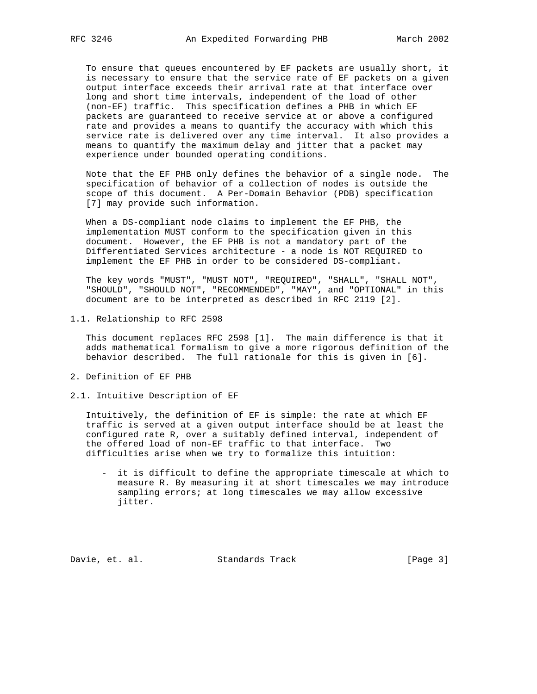To ensure that queues encountered by EF packets are usually short, it is necessary to ensure that the service rate of EF packets on a given output interface exceeds their arrival rate at that interface over long and short time intervals, independent of the load of other (non-EF) traffic. This specification defines a PHB in which EF packets are guaranteed to receive service at or above a configured rate and provides a means to quantify the accuracy with which this service rate is delivered over any time interval. It also provides a means to quantify the maximum delay and jitter that a packet may experience under bounded operating conditions.

 Note that the EF PHB only defines the behavior of a single node. The specification of behavior of a collection of nodes is outside the scope of this document. A Per-Domain Behavior (PDB) specification [7] may provide such information.

 When a DS-compliant node claims to implement the EF PHB, the implementation MUST conform to the specification given in this document. However, the EF PHB is not a mandatory part of the Differentiated Services architecture - a node is NOT REQUIRED to implement the EF PHB in order to be considered DS-compliant.

 The key words "MUST", "MUST NOT", "REQUIRED", "SHALL", "SHALL NOT", "SHOULD", "SHOULD NOT", "RECOMMENDED", "MAY", and "OPTIONAL" in this document are to be interpreted as described in RFC 2119 [2].

1.1. Relationship to RFC 2598

 This document replaces RFC 2598 [1]. The main difference is that it adds mathematical formalism to give a more rigorous definition of the behavior described. The full rationale for this is given in [6].

- 2. Definition of EF PHB
- 2.1. Intuitive Description of EF

 Intuitively, the definition of EF is simple: the rate at which EF traffic is served at a given output interface should be at least the configured rate R, over a suitably defined interval, independent of the offered load of non-EF traffic to that interface. Two difficulties arise when we try to formalize this intuition:

 - it is difficult to define the appropriate timescale at which to measure R. By measuring it at short timescales we may introduce sampling errors; at long timescales we may allow excessive jitter.

Davie, et. al. Standards Track [Page 3]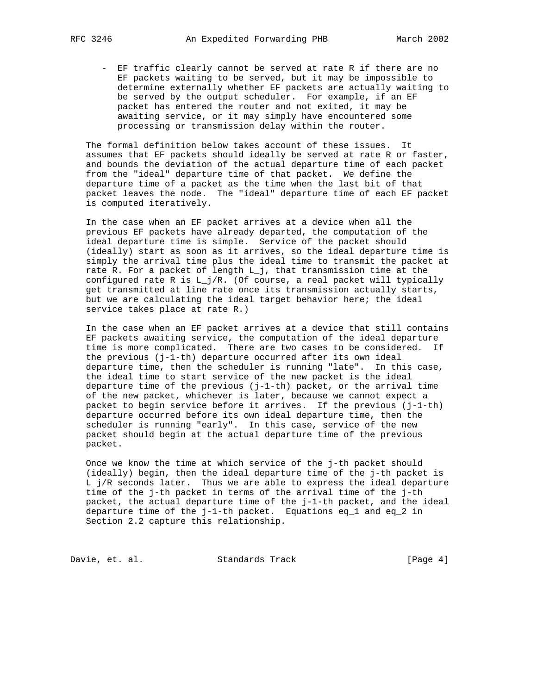- EF traffic clearly cannot be served at rate R if there are no EF packets waiting to be served, but it may be impossible to determine externally whether EF packets are actually waiting to be served by the output scheduler. For example, if an EF packet has entered the router and not exited, it may be awaiting service, or it may simply have encountered some processing or transmission delay within the router.

 The formal definition below takes account of these issues. It assumes that EF packets should ideally be served at rate R or faster, and bounds the deviation of the actual departure time of each packet from the "ideal" departure time of that packet. We define the departure time of a packet as the time when the last bit of that packet leaves the node. The "ideal" departure time of each EF packet is computed iteratively.

 In the case when an EF packet arrives at a device when all the previous EF packets have already departed, the computation of the ideal departure time is simple. Service of the packet should (ideally) start as soon as it arrives, so the ideal departure time is simply the arrival time plus the ideal time to transmit the packet at rate R. For a packet of length L\_j, that transmission time at the configured rate R is L\_j/R. (Of course, a real packet will typically get transmitted at line rate once its transmission actually starts, but we are calculating the ideal target behavior here; the ideal service takes place at rate R.)

 In the case when an EF packet arrives at a device that still contains EF packets awaiting service, the computation of the ideal departure time is more complicated. There are two cases to be considered. If the previous (j-1-th) departure occurred after its own ideal departure time, then the scheduler is running "late". In this case, the ideal time to start service of the new packet is the ideal departure time of the previous (j-1-th) packet, or the arrival time of the new packet, whichever is later, because we cannot expect a packet to begin service before it arrives. If the previous  $(j-1-th)$  departure occurred before its own ideal departure time, then the scheduler is running "early". In this case, service of the new packet should begin at the actual departure time of the previous packet.

 Once we know the time at which service of the j-th packet should (ideally) begin, then the ideal departure time of the j-th packet is L\_j/R seconds later. Thus we are able to express the ideal departure time of the j-th packet in terms of the arrival time of the j-th packet, the actual departure time of the j-1-th packet, and the ideal departure time of the j-1-th packet. Equations eq\_1 and eq\_2 in Section 2.2 capture this relationship.

Davie, et. al. Standards Track [Page 4]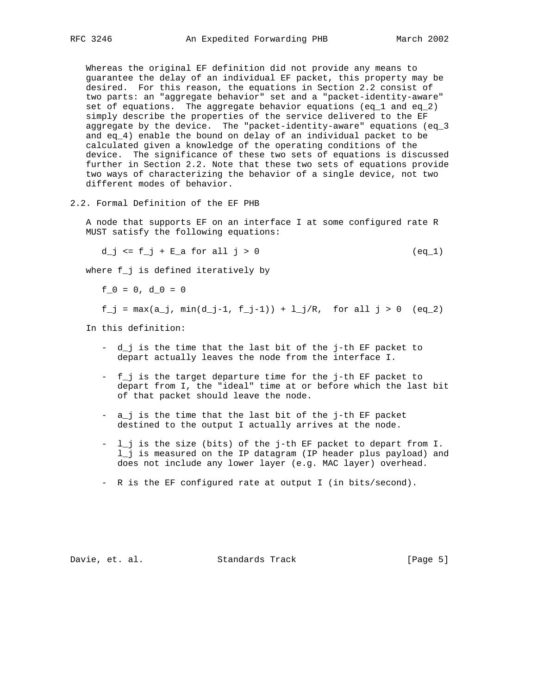Whereas the original EF definition did not provide any means to guarantee the delay of an individual EF packet, this property may be desired. For this reason, the equations in Section 2.2 consist of two parts: an "aggregate behavior" set and a "packet-identity-aware" set of equations. The aggregate behavior equations (eq\_1 and eq\_2) simply describe the properties of the service delivered to the EF aggregate by the device. The "packet-identity-aware" equations (eq\_3 and eq\_4) enable the bound on delay of an individual packet to be calculated given a knowledge of the operating conditions of the device. The significance of these two sets of equations is discussed further in Section 2.2. Note that these two sets of equations provide two ways of characterizing the behavior of a single device, not two different modes of behavior.

2.2. Formal Definition of the EF PHB

 A node that supports EF on an interface I at some configured rate R MUST satisfy the following equations:

d\_j <=  $f_j$  +  $E_a$  for all j > 0 (eq\_1)

where f\_j is defined iteratively by

 $f_0 = 0, d_0 = 0$ 

 $f_j = max(a_j, min(d_j-1, f_j-1)) + 1, j/R, for all j > 0 (eq_2)$ 

In this definition:

- d\_j is the time that the last bit of the j-th EF packet to depart actually leaves the node from the interface I.
- f\_j is the target departure time for the j-th EF packet to depart from I, the "ideal" time at or before which the last bit of that packet should leave the node.
- a\_j is the time that the last bit of the j-th EF packet destined to the output I actually arrives at the node.
- l\_j is the size (bits) of the j-th EF packet to depart from I. l\_j is measured on the IP datagram (IP header plus payload) and does not include any lower layer (e.g. MAC layer) overhead.
- R is the EF configured rate at output I (in bits/second).

Davie, et. al. Standards Track [Page 5]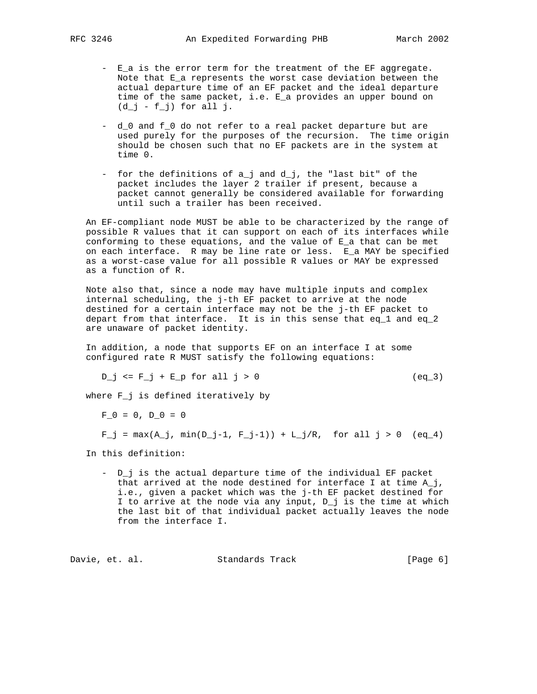- E\_a is the error term for the treatment of the EF aggregate. Note that E\_a represents the worst case deviation between the actual departure time of an EF packet and the ideal departure time of the same packet, i.e. E\_a provides an upper bound on  $(d_j - f_j)$  for all j.
- d\_0 and f\_0 do not refer to a real packet departure but are used purely for the purposes of the recursion. The time origin should be chosen such that no EF packets are in the system at time 0.
- for the definitions of a\_j and d\_j, the "last bit" of the packet includes the layer 2 trailer if present, because a packet cannot generally be considered available for forwarding until such a trailer has been received.

 An EF-compliant node MUST be able to be characterized by the range of possible R values that it can support on each of its interfaces while conforming to these equations, and the value of E\_a that can be met on each interface. R may be line rate or less. E\_a MAY be specified as a worst-case value for all possible R values or MAY be expressed as a function of R.

 Note also that, since a node may have multiple inputs and complex internal scheduling, the j-th EF packet to arrive at the node destined for a certain interface may not be the j-th EF packet to depart from that interface. It is in this sense that eq\_1 and eq\_2 are unaware of packet identity.

 In addition, a node that supports EF on an interface I at some configured rate R MUST satisfy the following equations:

 $D_j \leq F_j + E_p$  for all  $j > 0$  (eq\_3)

where F\_j is defined iteratively by

 $F$  0 = 0, D 0 = 0

```
F_j = \max(A_j, \min(D_j-1, F_j-1)) + L_j/R, for all j > 0 (eq. 4)
```
In this definition:

 - D\_j is the actual departure time of the individual EF packet that arrived at the node destined for interface I at time  $A_j$ , i.e., given a packet which was the j-th EF packet destined for I to arrive at the node via any input, D\_j is the time at which the last bit of that individual packet actually leaves the node from the interface I.

Davie, et. al. Standards Track [Page 6]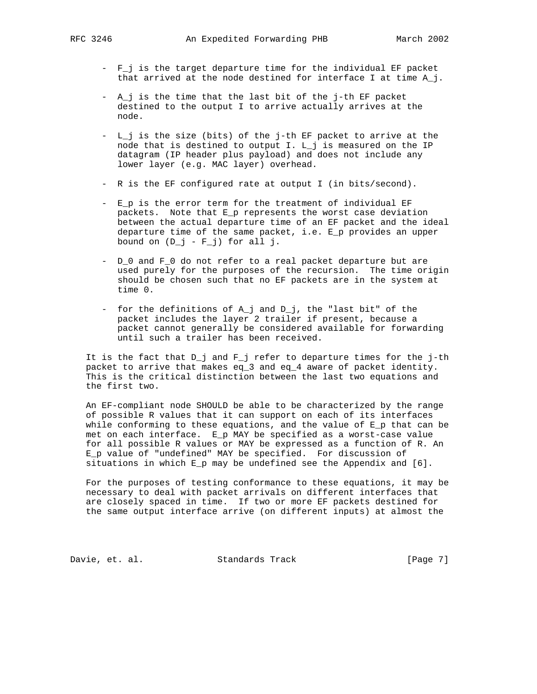- F\_j is the target departure time for the individual EF packet that arrived at the node destined for interface I at time  $A_j$ .
- A\_j is the time that the last bit of the j-th EF packet destined to the output I to arrive actually arrives at the node.
- L\_j is the size (bits) of the j-th EF packet to arrive at the node that is destined to output I. L\_j is measured on the IP datagram (IP header plus payload) and does not include any lower layer (e.g. MAC layer) overhead.
- R is the EF configured rate at output I (in bits/second).
- E\_p is the error term for the treatment of individual EF packets. Note that E\_p represents the worst case deviation between the actual departure time of an EF packet and the ideal departure time of the same packet, i.e. E\_p provides an upper bound on  $(D_j - F_j)$  for all j.
- D\_0 and F\_0 do not refer to a real packet departure but are used purely for the purposes of the recursion. The time origin should be chosen such that no EF packets are in the system at time 0.
- for the definitions of A\_j and D\_j, the "last bit" of the packet includes the layer 2 trailer if present, because a packet cannot generally be considered available for forwarding until such a trailer has been received.

 It is the fact that D\_j and F\_j refer to departure times for the j-th packet to arrive that makes eq\_3 and eq\_4 aware of packet identity. This is the critical distinction between the last two equations and the first two.

 An EF-compliant node SHOULD be able to be characterized by the range of possible R values that it can support on each of its interfaces while conforming to these equations, and the value of  $E_p$  that can be met on each interface. E\_p MAY be specified as a worst-case value for all possible R values or MAY be expressed as a function of R. An E\_p value of "undefined" MAY be specified. For discussion of situations in which E\_p may be undefined see the Appendix and [6].

 For the purposes of testing conformance to these equations, it may be necessary to deal with packet arrivals on different interfaces that are closely spaced in time. If two or more EF packets destined for the same output interface arrive (on different inputs) at almost the

Davie, et. al. Standards Track [Page 7]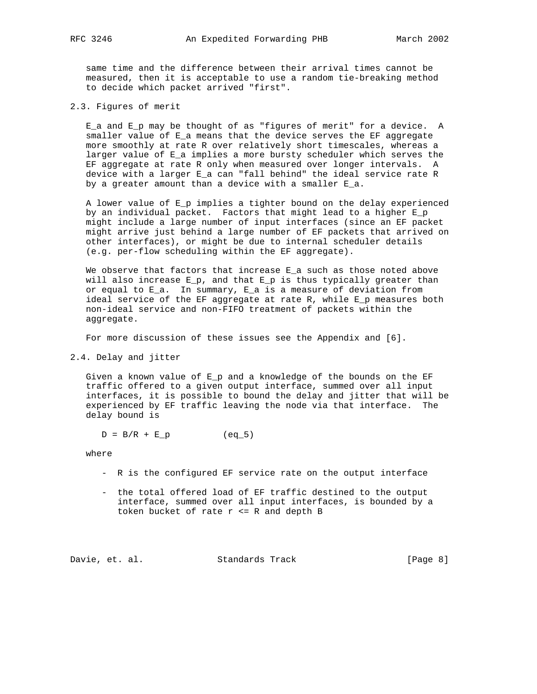same time and the difference between their arrival times cannot be measured, then it is acceptable to use a random tie-breaking method to decide which packet arrived "first".

2.3. Figures of merit

 E\_a and E\_p may be thought of as "figures of merit" for a device. A smaller value of E\_a means that the device serves the EF aggregate more smoothly at rate R over relatively short timescales, whereas a larger value of E a implies a more bursty scheduler which serves the EF aggregate at rate R only when measured over longer intervals. A device with a larger E\_a can "fall behind" the ideal service rate R by a greater amount than a device with a smaller E\_a.

 A lower value of E\_p implies a tighter bound on the delay experienced by an individual packet. Factors that might lead to a higher E\_p might include a large number of input interfaces (since an EF packet might arrive just behind a large number of EF packets that arrived on other interfaces), or might be due to internal scheduler details (e.g. per-flow scheduling within the EF aggregate).

We observe that factors that increase  $E_a$  such as those noted above will also increase  $E_p$ , and that  $E_p$  is thus typically greater than or equal to  $E_a$ . In summary,  $E_a$  is a measure of deviation from ideal service of the EF aggregate at rate R, while E\_p measures both non-ideal service and non-FIFO treatment of packets within the aggregate.

For more discussion of these issues see the Appendix and [6].

2.4. Delay and jitter

 Given a known value of E\_p and a knowledge of the bounds on the EF traffic offered to a given output interface, summed over all input interfaces, it is possible to bound the delay and jitter that will be experienced by EF traffic leaving the node via that interface. The delay bound is

 $D = B/R + E_p$  (eq\_5)

where

- R is the configured EF service rate on the output interface
- the total offered load of EF traffic destined to the output interface, summed over all input interfaces, is bounded by a token bucket of rate r <= R and depth B

Davie, et. al. Standards Track [Page 8]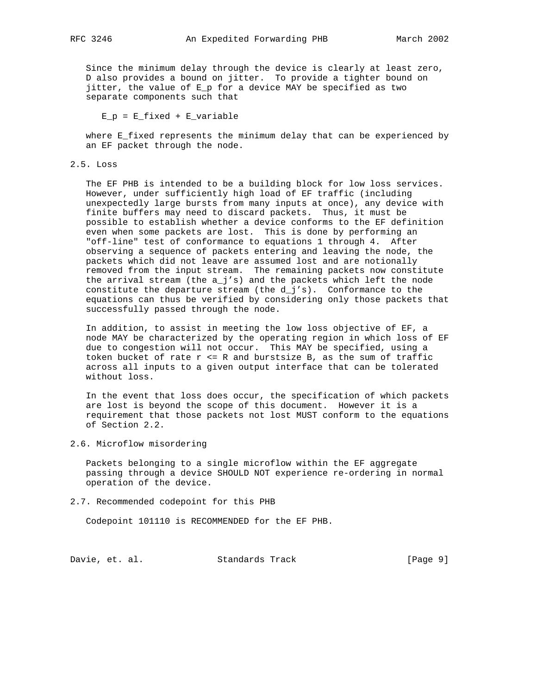Since the minimum delay through the device is clearly at least zero, D also provides a bound on jitter. To provide a tighter bound on jitter, the value of E\_p for a device MAY be specified as two separate components such that

 $E_p = E_f$ ixed +  $E_v$ variable

 where E\_fixed represents the minimum delay that can be experienced by an EF packet through the node.

#### 2.5. Loss

 The EF PHB is intended to be a building block for low loss services. However, under sufficiently high load of EF traffic (including unexpectedly large bursts from many inputs at once), any device with finite buffers may need to discard packets. Thus, it must be possible to establish whether a device conforms to the EF definition even when some packets are lost. This is done by performing an "off-line" test of conformance to equations 1 through 4. After observing a sequence of packets entering and leaving the node, the packets which did not leave are assumed lost and are notionally removed from the input stream. The remaining packets now constitute the arrival stream (the a\_j's) and the packets which left the node constitute the departure stream (the  $d_j's$ ). Conformance to the equations can thus be verified by considering only those packets that successfully passed through the node.

 In addition, to assist in meeting the low loss objective of EF, a node MAY be characterized by the operating region in which loss of EF due to congestion will not occur. This MAY be specified, using a token bucket of rate  $r \le R$  and burstsize B, as the sum of traffic across all inputs to a given output interface that can be tolerated without loss.

 In the event that loss does occur, the specification of which packets are lost is beyond the scope of this document. However it is a requirement that those packets not lost MUST conform to the equations of Section 2.2.

2.6. Microflow misordering

 Packets belonging to a single microflow within the EF aggregate passing through a device SHOULD NOT experience re-ordering in normal operation of the device.

2.7. Recommended codepoint for this PHB

Codepoint 101110 is RECOMMENDED for the EF PHB.

Davie, et. al. Standards Track [Page 9]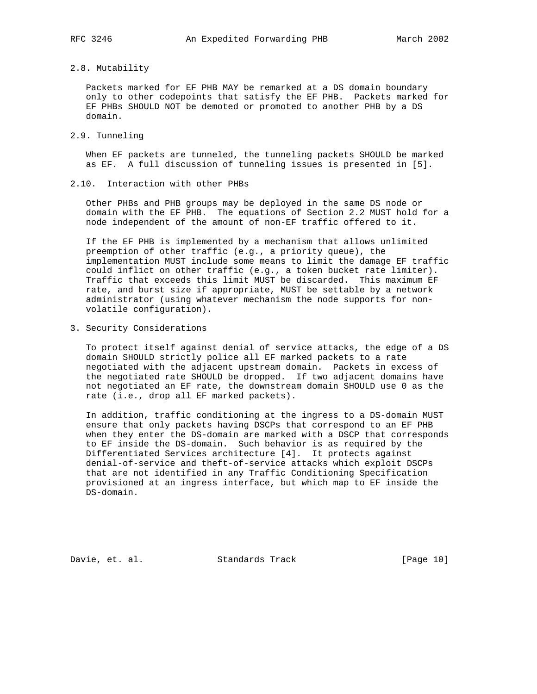# 2.8. Mutability

 Packets marked for EF PHB MAY be remarked at a DS domain boundary only to other codepoints that satisfy the EF PHB. Packets marked for EF PHBs SHOULD NOT be demoted or promoted to another PHB by a DS domain.

## 2.9. Tunneling

 When EF packets are tunneled, the tunneling packets SHOULD be marked as EF. A full discussion of tunneling issues is presented in [5].

#### 2.10. Interaction with other PHBs

 Other PHBs and PHB groups may be deployed in the same DS node or domain with the EF PHB. The equations of Section 2.2 MUST hold for a node independent of the amount of non-EF traffic offered to it.

 If the EF PHB is implemented by a mechanism that allows unlimited preemption of other traffic (e.g., a priority queue), the implementation MUST include some means to limit the damage EF traffic could inflict on other traffic (e.g., a token bucket rate limiter). Traffic that exceeds this limit MUST be discarded. This maximum EF rate, and burst size if appropriate, MUST be settable by a network administrator (using whatever mechanism the node supports for non volatile configuration).

3. Security Considerations

 To protect itself against denial of service attacks, the edge of a DS domain SHOULD strictly police all EF marked packets to a rate negotiated with the adjacent upstream domain. Packets in excess of the negotiated rate SHOULD be dropped. If two adjacent domains have not negotiated an EF rate, the downstream domain SHOULD use 0 as the rate (i.e., drop all EF marked packets).

 In addition, traffic conditioning at the ingress to a DS-domain MUST ensure that only packets having DSCPs that correspond to an EF PHB when they enter the DS-domain are marked with a DSCP that corresponds to EF inside the DS-domain. Such behavior is as required by the Differentiated Services architecture [4]. It protects against denial-of-service and theft-of-service attacks which exploit DSCPs that are not identified in any Traffic Conditioning Specification provisioned at an ingress interface, but which map to EF inside the DS-domain.

Davie, et. al. Standards Track [Page 10]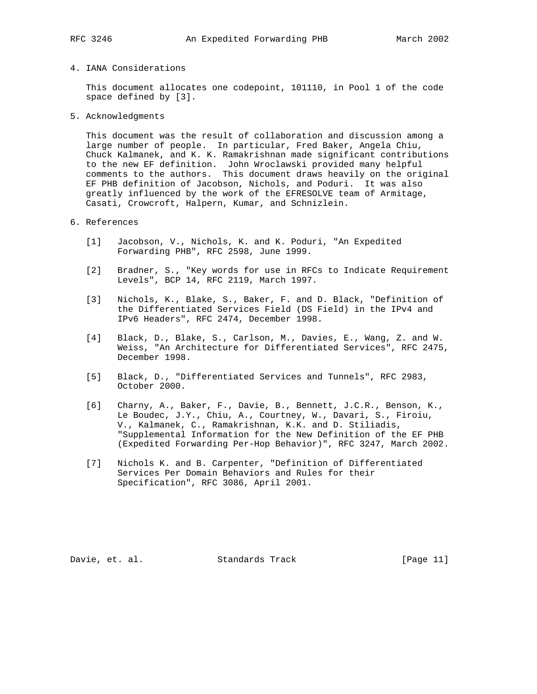4. IANA Considerations

 This document allocates one codepoint, 101110, in Pool 1 of the code space defined by [3].

5. Acknowledgments

 This document was the result of collaboration and discussion among a large number of people. In particular, Fred Baker, Angela Chiu, Chuck Kalmanek, and K. K. Ramakrishnan made significant contributions to the new EF definition. John Wroclawski provided many helpful comments to the authors. This document draws heavily on the original EF PHB definition of Jacobson, Nichols, and Poduri. It was also greatly influenced by the work of the EFRESOLVE team of Armitage, Casati, Crowcroft, Halpern, Kumar, and Schnizlein.

## 6. References

- [1] Jacobson, V., Nichols, K. and K. Poduri, "An Expedited Forwarding PHB", RFC 2598, June 1999.
- [2] Bradner, S., "Key words for use in RFCs to Indicate Requirement Levels", BCP 14, RFC 2119, March 1997.
- [3] Nichols, K., Blake, S., Baker, F. and D. Black, "Definition of the Differentiated Services Field (DS Field) in the IPv4 and IPv6 Headers", RFC 2474, December 1998.
- [4] Black, D., Blake, S., Carlson, M., Davies, E., Wang, Z. and W. Weiss, "An Architecture for Differentiated Services", RFC 2475, December 1998.
- [5] Black, D., "Differentiated Services and Tunnels", RFC 2983, October 2000.
- [6] Charny, A., Baker, F., Davie, B., Bennett, J.C.R., Benson, K., Le Boudec, J.Y., Chiu, A., Courtney, W., Davari, S., Firoiu, V., Kalmanek, C., Ramakrishnan, K.K. and D. Stiliadis, "Supplemental Information for the New Definition of the EF PHB (Expedited Forwarding Per-Hop Behavior)", RFC 3247, March 2002.
- [7] Nichols K. and B. Carpenter, "Definition of Differentiated Services Per Domain Behaviors and Rules for their Specification", RFC 3086, April 2001.

Davie, et. al. Standards Track [Page 11]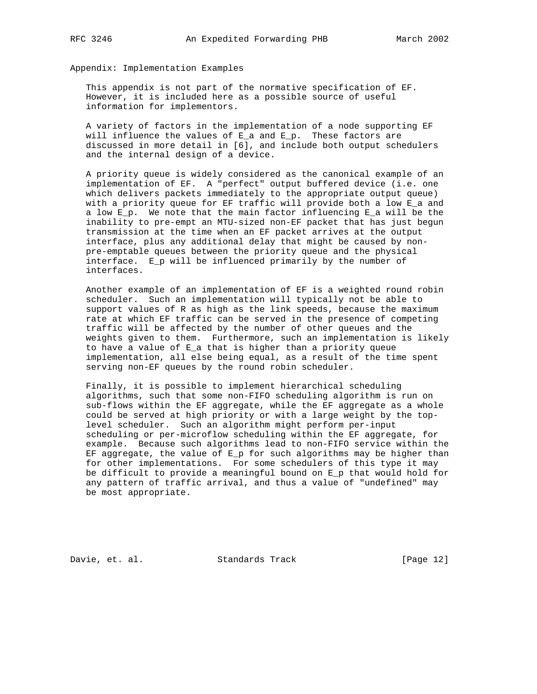Appendix: Implementation Examples

 This appendix is not part of the normative specification of EF. However, it is included here as a possible source of useful information for implementors.

 A variety of factors in the implementation of a node supporting EF will influence the values of  $E_a$  and  $E_p$ . These factors are discussed in more detail in [6], and include both output schedulers and the internal design of a device.

 A priority queue is widely considered as the canonical example of an implementation of EF. A "perfect" output buffered device (i.e. one which delivers packets immediately to the appropriate output queue) with a priority queue for EF traffic will provide both a low E\_a and a low E\_p. We note that the main factor influencing E\_a will be the inability to pre-empt an MTU-sized non-EF packet that has just begun transmission at the time when an EF packet arrives at the output interface, plus any additional delay that might be caused by non pre-emptable queues between the priority queue and the physical interface. E\_p will be influenced primarily by the number of interfaces.

 Another example of an implementation of EF is a weighted round robin scheduler. Such an implementation will typically not be able to support values of R as high as the link speeds, because the maximum rate at which EF traffic can be served in the presence of competing traffic will be affected by the number of other queues and the weights given to them. Furthermore, such an implementation is likely to have a value of E\_a that is higher than a priority queue implementation, all else being equal, as a result of the time spent serving non-EF queues by the round robin scheduler.

 Finally, it is possible to implement hierarchical scheduling algorithms, such that some non-FIFO scheduling algorithm is run on sub-flows within the EF aggregate, while the EF aggregate as a whole could be served at high priority or with a large weight by the top level scheduler. Such an algorithm might perform per-input scheduling or per-microflow scheduling within the EF aggregate, for example. Because such algorithms lead to non-FIFO service within the EF aggregate, the value of E\_p for such algorithms may be higher than for other implementations. For some schedulers of this type it may be difficult to provide a meaningful bound on E\_p that would hold for any pattern of traffic arrival, and thus a value of "undefined" may be most appropriate.

Davie, et. al. Standards Track [Page 12]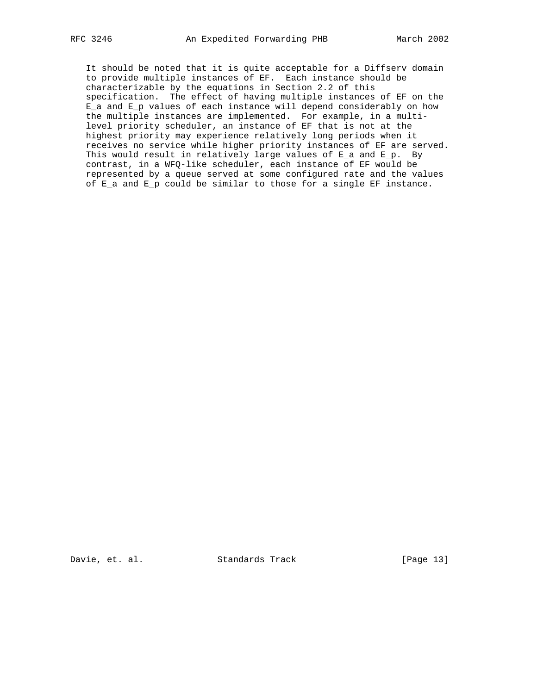It should be noted that it is quite acceptable for a Diffserv domain to provide multiple instances of EF. Each instance should be characterizable by the equations in Section 2.2 of this specification. The effect of having multiple instances of EF on the E\_a and E\_p values of each instance will depend considerably on how the multiple instances are implemented. For example, in a multi level priority scheduler, an instance of EF that is not at the highest priority may experience relatively long periods when it receives no service while higher priority instances of EF are served. This would result in relatively large values of E\_a and E\_p. By contrast, in a WFQ-like scheduler, each instance of EF would be represented by a queue served at some configured rate and the values of E\_a and E\_p could be similar to those for a single EF instance.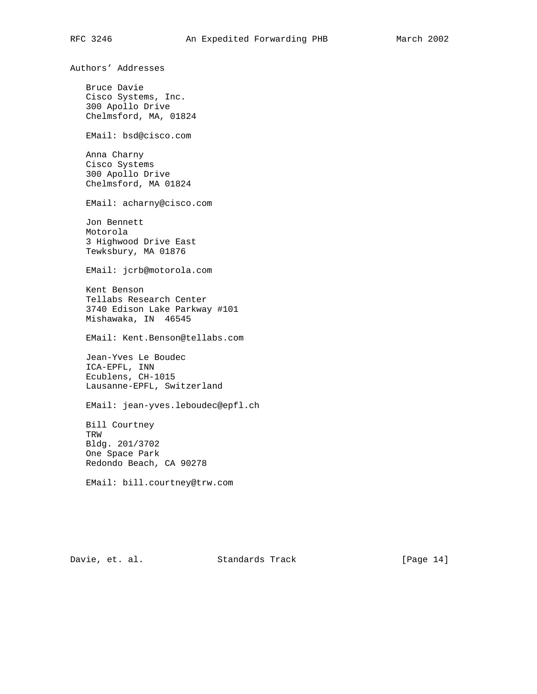Authors' Addresses Bruce Davie Cisco Systems, Inc. 300 Apollo Drive Chelmsford, MA, 01824 EMail: bsd@cisco.com Anna Charny Cisco Systems 300 Apollo Drive Chelmsford, MA 01824 EMail: acharny@cisco.com Jon Bennett Motorola 3 Highwood Drive East Tewksbury, MA 01876 EMail: jcrb@motorola.com Kent Benson Tellabs Research Center 3740 Edison Lake Parkway #101 Mishawaka, IN 46545 EMail: Kent.Benson@tellabs.com Jean-Yves Le Boudec ICA-EPFL, INN Ecublens, CH-1015 Lausanne-EPFL, Switzerland EMail: jean-yves.leboudec@epfl.ch Bill Courtney TRW Bldg. 201/3702 One Space Park Redondo Beach, CA 90278 EMail: bill.courtney@trw.com

Davie, et. al. Standards Track [Page 14]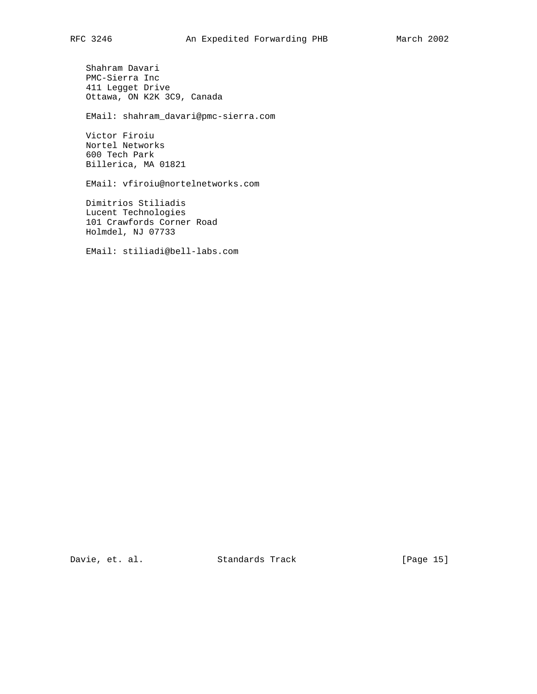Shahram Davari PMC-Sierra Inc 411 Legget Drive Ottawa, ON K2K 3C9, Canada

EMail: shahram\_davari@pmc-sierra.com

 Victor Firoiu Nortel Networks 600 Tech Park Billerica, MA 01821

EMail: vfiroiu@nortelnetworks.com

 Dimitrios Stiliadis Lucent Technologies 101 Crawfords Corner Road Holmdel, NJ 07733

EMail: stiliadi@bell-labs.com

Davie, et. al. Standards Track [Page 15]